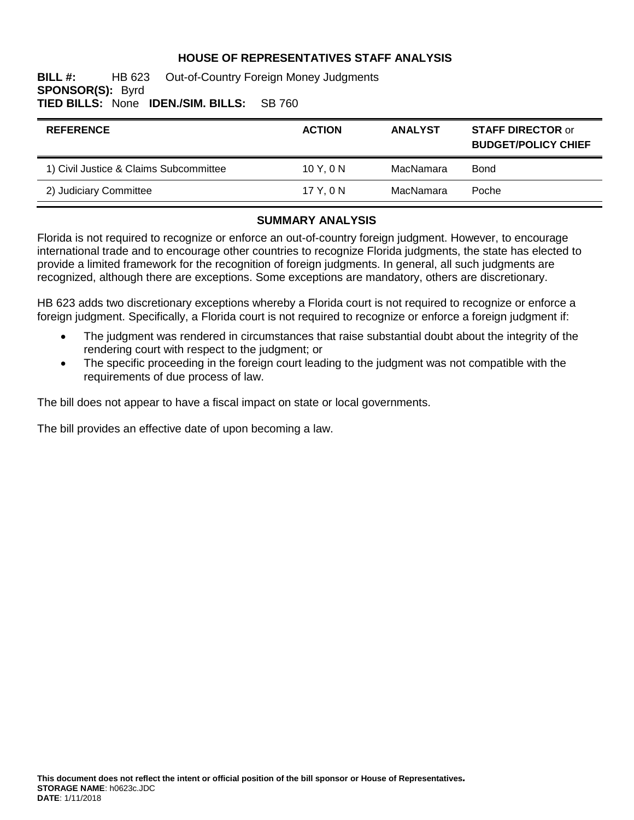## **HOUSE OF REPRESENTATIVES STAFF ANALYSIS**

#### **BILL #:** HB 623 Out-of-Country Foreign Money Judgments **SPONSOR(S):** Byrd **TIED BILLS:** None **IDEN./SIM. BILLS:** SB 760

| <b>REFERENCE</b>                       | <b>ACTION</b> | <b>ANALYST</b> | <b>STAFF DIRECTOR or</b><br><b>BUDGET/POLICY CHIEF</b> |
|----------------------------------------|---------------|----------------|--------------------------------------------------------|
| 1) Civil Justice & Claims Subcommittee | 10Y.0N        | MacNamara      | Bond                                                   |
| 2) Judiciary Committee                 | 17 Y.ON       | MacNamara      | Poche                                                  |

#### **SUMMARY ANALYSIS**

Florida is not required to recognize or enforce an out-of-country foreign judgment. However, to encourage international trade and to encourage other countries to recognize Florida judgments, the state has elected to provide a limited framework for the recognition of foreign judgments. In general, all such judgments are recognized, although there are exceptions. Some exceptions are mandatory, others are discretionary.

HB 623 adds two discretionary exceptions whereby a Florida court is not required to recognize or enforce a foreign judgment. Specifically, a Florida court is not required to recognize or enforce a foreign judgment if:

- The judgment was rendered in circumstances that raise substantial doubt about the integrity of the rendering court with respect to the judgment; or
- The specific proceeding in the foreign court leading to the judgment was not compatible with the requirements of due process of law.

The bill does not appear to have a fiscal impact on state or local governments.

The bill provides an effective date of upon becoming a law.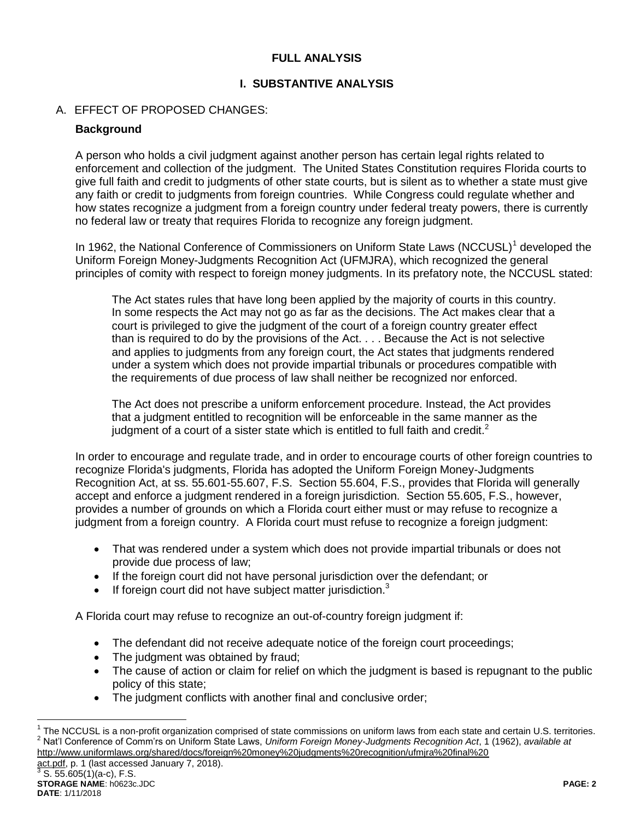## **FULL ANALYSIS**

## **I. SUBSTANTIVE ANALYSIS**

## A. EFFECT OF PROPOSED CHANGES:

### **Background**

A person who holds a civil judgment against another person has certain legal rights related to enforcement and collection of the judgment. The United States Constitution requires Florida courts to give full faith and credit to judgments of other state courts, but is silent as to whether a state must give any faith or credit to judgments from foreign countries. While Congress could regulate whether and how states recognize a judgment from a foreign country under federal treaty powers, there is currently no federal law or treaty that requires Florida to recognize any foreign judgment.

In 1962, the National Conference of Commissioners on Uniform State Laws (NCCUSL)<sup>1</sup> developed the Uniform Foreign Money-Judgments Recognition Act (UFMJRA), which recognized the general principles of comity with respect to foreign money judgments. In its prefatory note, the NCCUSL stated:

The Act states rules that have long been applied by the majority of courts in this country. In some respects the Act may not go as far as the decisions. The Act makes clear that a court is privileged to give the judgment of the court of a foreign country greater effect than is required to do by the provisions of the Act. . . . Because the Act is not selective and applies to judgments from any foreign court, the Act states that judgments rendered under a system which does not provide impartial tribunals or procedures compatible with the requirements of due process of law shall neither be recognized nor enforced.

The Act does not prescribe a uniform enforcement procedure. Instead, the Act provides that a judgment entitled to recognition will be enforceable in the same manner as the judgment of a court of a sister state which is entitled to full faith and credit. $2^2$ 

In order to encourage and regulate trade, and in order to encourage courts of other foreign countries to recognize Florida's judgments, Florida has adopted the Uniform Foreign Money-Judgments Recognition Act, at ss. 55.601-55.607, F.S. Section 55.604, F.S., provides that Florida will generally accept and enforce a judgment rendered in a foreign jurisdiction. Section 55.605, F.S., however, provides a number of grounds on which a Florida court either must or may refuse to recognize a judgment from a foreign country. A Florida court must refuse to recognize a foreign judgment:

- That was rendered under a system which does not provide impartial tribunals or does not provide due process of law;
- If the foreign court did not have personal jurisdiction over the defendant; or
- $\bullet$  If foreign court did not have subject matter jurisdiction.<sup>3</sup>

A Florida court may refuse to recognize an out-of-country foreign judgment if:

- The defendant did not receive adequate notice of the foreign court proceedings;
- The judgment was obtained by fraud;
- The cause of action or claim for relief on which the judgment is based is repugnant to the public policy of this state;
- The judgment conflicts with another final and conclusive order;

act.pdf, p. 1 (last accessed January 7, 2018).<br>3 S. EE CO5(1)(2 s), F. S.

 $\overline{a}$ 

 $1$  The NCCUSL is a non-profit organization comprised of state commissions on uniform laws from each state and certain U.S. territories. <sup>2</sup> Nat'l Conference of Comm'rs on Uniform State Laws, *Uniform Foreign Money-Judgments Recognition Act*, 1 (1962), *available at* http://www.uniformlaws.org/shared/docs/foreign%20money%20judgments%20recognition/ufmjra%20final%20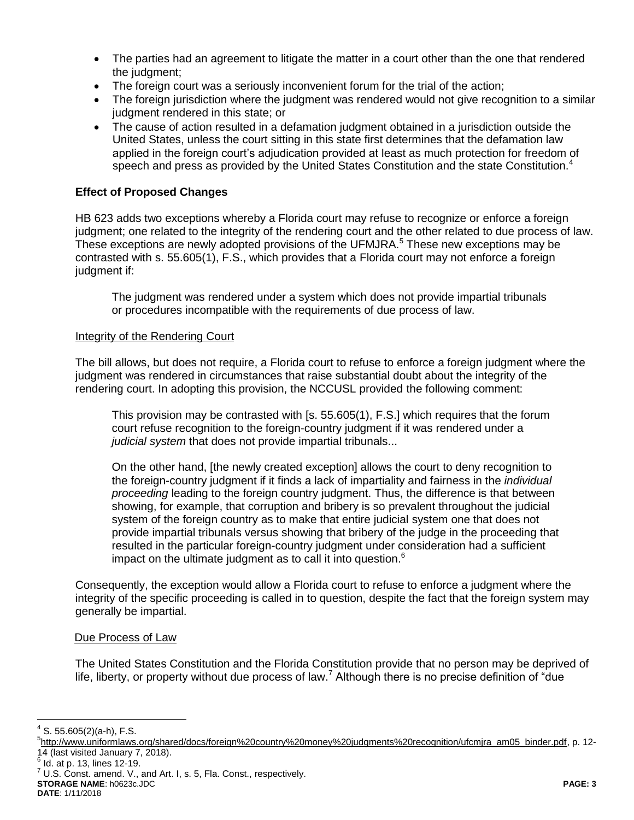- The parties had an agreement to litigate the matter in a court other than the one that rendered the judgment;
- The foreign court was a seriously inconvenient forum for the trial of the action;
- The foreign jurisdiction where the judgment was rendered would not give recognition to a similar judgment rendered in this state; or
- The cause of action resulted in a defamation judgment obtained in a jurisdiction outside the United States, unless the court sitting in this state first determines that the defamation law applied in the foreign court's adjudication provided at least as much protection for freedom of speech and press as provided by the United States Constitution and the state Constitution.<sup>4</sup>

### **Effect of Proposed Changes**

HB 623 adds two exceptions whereby a Florida court may refuse to recognize or enforce a foreign judgment; one related to the integrity of the rendering court and the other related to due process of law. These exceptions are newly adopted provisions of the UFMJRA.<sup>5</sup> These new exceptions may be contrasted with s. 55.605(1), F.S., which provides that a Florida court may not enforce a foreign judgment if:

The judgment was rendered under a system which does not provide impartial tribunals or procedures incompatible with the requirements of due process of law.

#### Integrity of the Rendering Court

The bill allows, but does not require, a Florida court to refuse to enforce a foreign judgment where the judgment was rendered in circumstances that raise substantial doubt about the integrity of the rendering court. In adopting this provision, the NCCUSL provided the following comment:

This provision may be contrasted with [s. 55.605(1), F.S.] which requires that the forum court refuse recognition to the foreign-country judgment if it was rendered under a *judicial system* that does not provide impartial tribunals...

On the other hand, [the newly created exception] allows the court to deny recognition to the foreign-country judgment if it finds a lack of impartiality and fairness in the *individual proceeding* leading to the foreign country judgment. Thus, the difference is that between showing, for example, that corruption and bribery is so prevalent throughout the judicial system of the foreign country as to make that entire judicial system one that does not provide impartial tribunals versus showing that bribery of the judge in the proceeding that resulted in the particular foreign-country judgment under consideration had a sufficient impact on the ultimate judgment as to call it into question. $6$ 

Consequently, the exception would allow a Florida court to refuse to enforce a judgment where the integrity of the specific proceeding is called in to question, despite the fact that the foreign system may generally be impartial.

#### Due Process of Law

The United States Constitution and the Florida Constitution provide that no person may be deprived of life, liberty, or property without due process of law.<sup>7</sup> Although there is no precise definition of "due

 4 S. 55.605(2)(a-h), F.S.

<sup>&</sup>lt;sup>5</sup>http://www.uniformlaws.org/shared/docs/foreign%20country%20money%20judgments%20recognition/ufcmjra\_am05\_binder.pdf, p. 12-14 (last visited January 7, 2018).

 $^6$  Id. at p. 13, lines 12-19.

**STORAGE NAME**: h0623c.JDC **PAGE: 3**  $7$  U.S. Const. amend. V., and Art. I, s. 5, Fla. Const., respectively.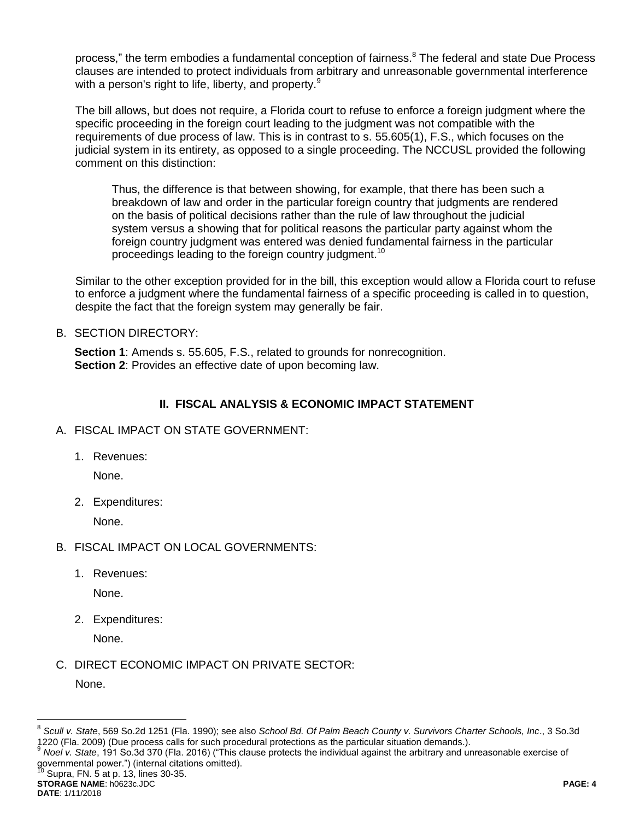process," the term embodies a fundamental conception of fairness.<sup>8</sup> The federal and state Due Process clauses are intended to protect individuals from arbitrary and unreasonable governmental interference with a person's right to life, liberty, and property.<sup>9</sup>

The bill allows, but does not require, a Florida court to refuse to enforce a foreign judgment where the specific proceeding in the foreign court leading to the judgment was not compatible with the requirements of due process of law. This is in contrast to s. 55.605(1), F.S., which focuses on the judicial system in its entirety, as opposed to a single proceeding. The NCCUSL provided the following comment on this distinction:

Thus, the difference is that between showing, for example, that there has been such a breakdown of law and order in the particular foreign country that judgments are rendered on the basis of political decisions rather than the rule of law throughout the judicial system versus a showing that for political reasons the particular party against whom the foreign country judgment was entered was denied fundamental fairness in the particular proceedings leading to the foreign country judgment.<sup>10</sup>

Similar to the other exception provided for in the bill, this exception would allow a Florida court to refuse to enforce a judgment where the fundamental fairness of a specific proceeding is called in to question, despite the fact that the foreign system may generally be fair.

B. SECTION DIRECTORY:

**Section 1**: Amends s. 55.605, F.S., related to grounds for nonrecognition. **Section 2:** Provides an effective date of upon becoming law.

## **II. FISCAL ANALYSIS & ECONOMIC IMPACT STATEMENT**

- A. FISCAL IMPACT ON STATE GOVERNMENT:
	- 1. Revenues:

None.

2. Expenditures:

None.

- B. FISCAL IMPACT ON LOCAL GOVERNMENTS:
	- 1. Revenues:

None.

2. Expenditures:

None.

C. DIRECT ECONOMIC IMPACT ON PRIVATE SECTOR:

None.

 $\overline{a}$ 

<sup>9</sup> *Noel v. State*, 191 So.3d 370 (Fla. 2016) ("This clause protects the individual against the arbitrary and unreasonable exercise of governmental power.") (internal citations omitted).

Supra, FN. 5 at p. 13, lines 30-35.

```
STORAGE NAME: h0623c.JDC PAGE: 4
DATE: 1/11/2018
```
<sup>8</sup> *Scull v. State*, 569 So.2d 1251 (Fla. 1990); see also *School Bd. Of Palm Beach County v. Survivors Charter Schools, Inc*., 3 So.3d 1220 (Fla. 2009) (Due process calls for such procedural protections as the particular situation demands.).